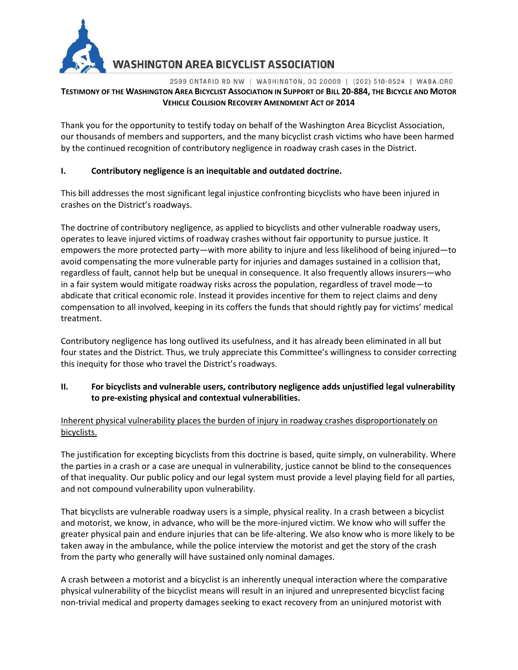

**WASHINGTON AREA BICYCLIST ASSOCIATION** 

#### 2599 ONTARIO RD NW | WASHINGTON, DC 20009 | (202) 518-0524 | WABA.ORG TESTIMONY OF THE WASHINGTON AREA BICYCLIST ASSOCIATION IN SUPPORT OF BILL 20-884, THE BICYCLE AND MOTOR **VEHICLE COLLISION RECOVERY AMENDMENT ACT OF 2014**

Thank you for the opportunity to testify today on behalf of the Washington Area Bicyclist Association, our thousands of members and supporters, and the many bicyclist crash victims who have been harmed by the continued recognition of contributory negligence in roadway crash cases in the District.

## **I. Contributory negligence is an inequitable and outdated doctrine.**

This bill addresses the most significant legal injustice confronting bicyclists who have been injured in crashes on the District's roadways.

The doctrine of contributory negligence, as applied to bicyclists and other vulnerable roadway users, operates to leave injured victims of roadway crashes without fair opportunity to pursue justice. It empowers the more protected party—with more ability to injure and less likelihood of being injured—to avoid compensating the more vulnerable party for injuries and damages sustained in a collision that, regardless of fault, cannot help but be unequal in consequence. It also frequently allows insurers—who in a fair system would mitigate roadway risks across the population, regardless of travel mode—to abdicate that critical economic role. Instead it provides incentive for them to reject claims and deny compensation to all involved, keeping in its coffers the funds that should rightly pay for victims' medical treatment.

Contributory negligence has long outlived its usefulness, and it has already been eliminated in all but four states and the District. Thus, we truly appreciate this Committee's willingness to consider correcting this inequity for those who travel the District's roadways.

# **II. For bicyclists and vulnerable users, contributory negligence adds unjustified legal vulnerability to pre-existing physical and contextual vulnerabilities.**

Inherent physical vulnerability places the burden of injury in roadway crashes disproportionately on bicyclists.

The justification for excepting bicyclists from this doctrine is based, quite simply, on vulnerability. Where the parties in a crash or a case are unequal in vulnerability, justice cannot be blind to the consequences of that inequality. Our public policy and our legal system must provide a level playing field for all parties, and not compound vulnerability upon vulnerability.

That bicyclists are vulnerable roadway users is a simple, physical reality. In a crash between a bicyclist and motorist, we know, in advance, who will be the more-injured victim. We know who will suffer the greater physical pain and endure injuries that can be life-altering. We also know who is more likely to be taken away in the ambulance, while the police interview the motorist and get the story of the crash from the party who generally will have sustained only nominal damages.

A crash between a motorist and a bicyclist is an inherently unequal interaction where the comparative physical vulnerability of the bicyclist means will result in an injured and unrepresented bicyclist facing non-trivial medical and property damages seeking to exact recovery from an uninjured motorist with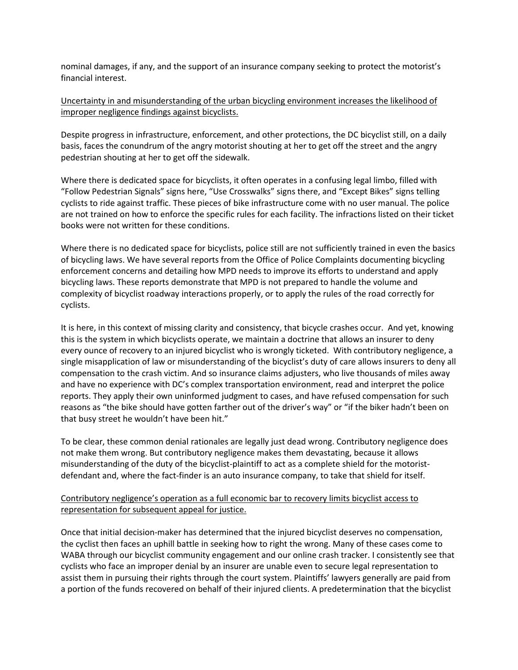nominal damages, if any, and the support of an insurance company seeking to protect the motorist's financial interest.

#### Uncertainty in and misunderstanding of the urban bicycling environment increases the likelihood of improper negligence findings against bicyclists.

Despite progress in infrastructure, enforcement, and other protections, the DC bicyclist still, on a daily basis, faces the conundrum of the angry motorist shouting at her to get off the street and the angry pedestrian shouting at her to get off the sidewalk.

Where there is dedicated space for bicyclists, it often operates in a confusing legal limbo, filled with "Follow Pedestrian Signals" signs here, "Use Crosswalks" signs there, and "Except Bikes" signs telling cyclists to ride against traffic. These pieces of bike infrastructure come with no user manual. The police are not trained on how to enforce the specific rules for each facility. The infractions listed on their ticket books were not written for these conditions.

Where there is no dedicated space for bicyclists, police still are not sufficiently trained in even the basics of bicycling laws. We have several reports from the Office of Police Complaints documenting bicycling enforcement concerns and detailing how MPD needs to improve its efforts to understand and apply bicycling laws. These reports demonstrate that MPD is not prepared to handle the volume and complexity of bicyclist roadway interactions properly, or to apply the rules of the road correctly for cyclists.

It is here, in this context of missing clarity and consistency, that bicycle crashes occur. And yet, knowing this is the system in which bicyclists operate, we maintain a doctrine that allows an insurer to deny every ounce of recovery to an injured bicyclist who is wrongly ticketed. With contributory negligence, a single misapplication of law or misunderstanding of the bicyclist's duty of care allows insurers to deny all compensation to the crash victim. And so insurance claims adjusters, who live thousands of miles away and have no experience with DC's complex transportation environment, read and interpret the police reports. They apply their own uninformed judgment to cases, and have refused compensation for such reasons as "the bike should have gotten farther out of the driver's way" or "if the biker hadn't been on that busy street he wouldn't have been hit."

To be clear, these common denial rationales are legally just dead wrong. Contributory negligence does not make them wrong. But contributory negligence makes them devastating, because it allows misunderstanding of the duty of the bicyclist-plaintiff to act as a complete shield for the motoristdefendant and, where the fact-finder is an auto insurance company, to take that shield for itself.

## Contributory negligence's operation as a full economic bar to recovery limits bicyclist access to representation for subsequent appeal for justice.

Once that initial decision-maker has determined that the injured bicyclist deserves no compensation, the cyclist then faces an uphill battle in seeking how to right the wrong. Many of these cases come to WABA through our bicyclist community engagement and our online crash tracker. I consistently see that cyclists who face an improper denial by an insurer are unable even to secure legal representation to assist them in pursuing their rights through the court system. Plaintiffs' lawyers generally are paid from a portion of the funds recovered on behalf of their injured clients. A predetermination that the bicyclist